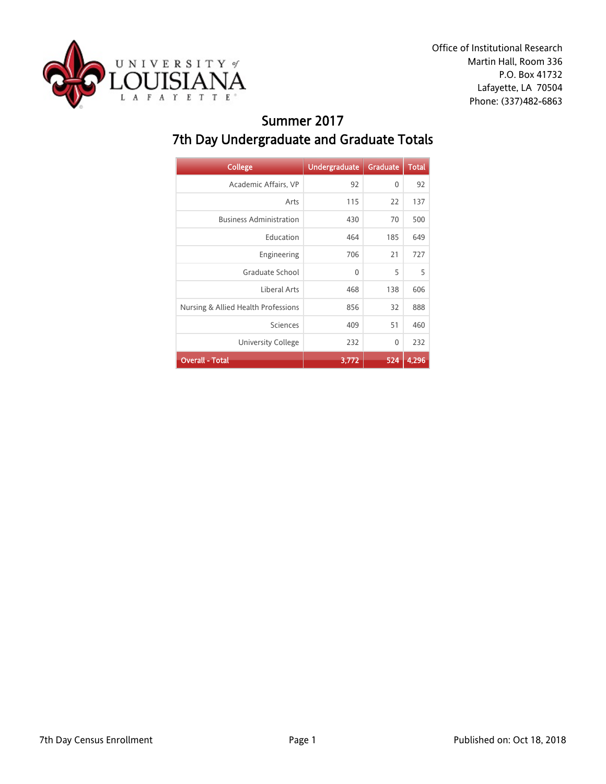

Office of Institutional Research Martin Hall, Room 336 P.O. Box 41732 Lafayette, LA 70504 Phone: (337)482-6863

### Summer 2017 7th Day Undergraduate and Graduate Totals

| <b>College</b>                      | <b>Undergraduate</b> | <b>Graduate</b> | <b>Total</b> |
|-------------------------------------|----------------------|-----------------|--------------|
| Academic Affairs, VP                | 92                   | 0               | 92           |
| Arts                                | 115                  | 22              | 137          |
| <b>Business Administration</b>      | 430                  | 70              | 500          |
| Education                           | 464                  | 185             | 649          |
| Engineering                         | 706                  | 21              | 727          |
| Graduate School                     | $\mathbf{0}$         | 5               | 5            |
| Liberal Arts                        | 468                  | 138             | 606          |
| Nursing & Allied Health Professions | 856                  | 32              | 888          |
| Sciences                            | 409                  | 51              | 460          |
| <b>University College</b>           | 232                  | $\mathbf{0}$    | 232          |
| <b>Overall - Total</b>              | 3,772                | 524             | 4,296        |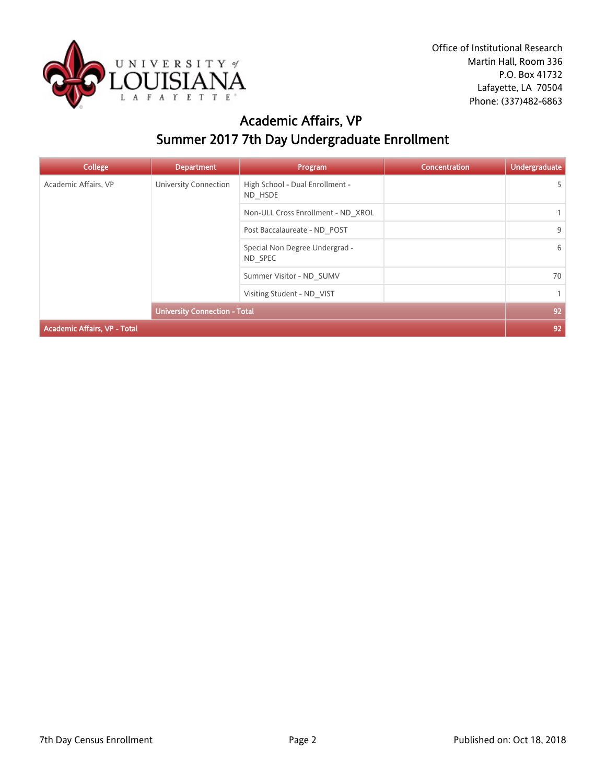

# Academic Affairs, VP Summer 2017 7th Day Undergraduate Enrollment

| <b>College</b>                      | <b>Department</b>                         | Program                                    | <b>Concentration</b> | <b>Undergraduate</b> |
|-------------------------------------|-------------------------------------------|--------------------------------------------|----------------------|----------------------|
| Academic Affairs, VP                | University Connection                     | High School - Dual Enrollment -<br>ND HSDE |                      | 5                    |
|                                     |                                           | Non-ULL Cross Enrollment - ND XROL         |                      |                      |
|                                     |                                           | Post Baccalaureate - ND POST               |                      | 9                    |
|                                     | Special Non Degree Undergrad -<br>ND SPEC |                                            | 6                    |                      |
|                                     |                                           | Summer Visitor - ND SUMV                   |                      | 70                   |
|                                     | Visiting Student - ND VIST                |                                            | $\mathbf{1}$         |                      |
|                                     | <b>University Connection - Total</b>      |                                            |                      | 92                   |
| <b>Academic Affairs, VP - Total</b> |                                           |                                            |                      | 92                   |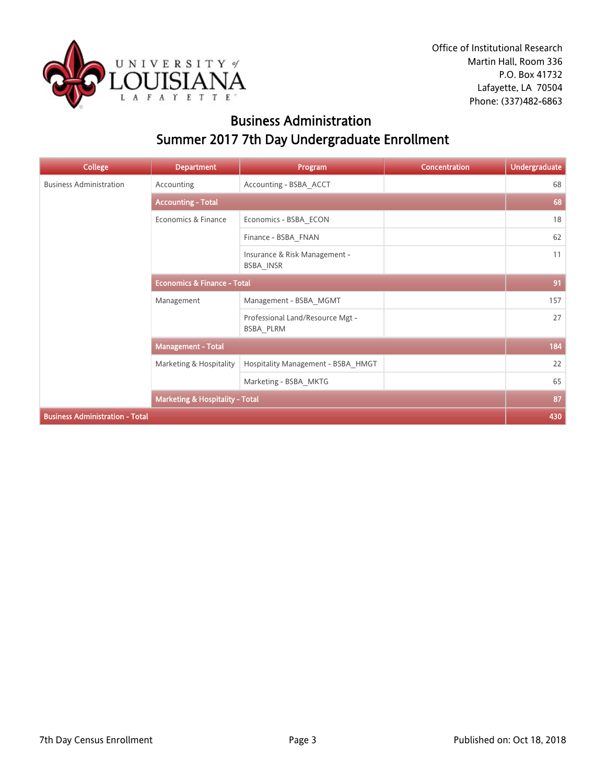

### Business Administration Summer 2017 7th Day Undergraduate Enrollment

| <b>College</b>                         | <b>Department</b>                          | Program                                       | <b>Concentration</b> | <b>Undergraduate</b> |
|----------------------------------------|--------------------------------------------|-----------------------------------------------|----------------------|----------------------|
| <b>Business Administration</b>         | Accounting                                 | Accounting - BSBA ACCT                        |                      | 68                   |
|                                        | <b>Accounting - Total</b>                  |                                               |                      | 68                   |
|                                        | Economics & Finance                        | Economics - BSBA ECON                         |                      | 18                   |
|                                        |                                            | Finance - BSBA FNAN                           |                      | 62                   |
|                                        |                                            | Insurance & Risk Management -<br>BSBA_INSR    |                      | 11                   |
|                                        | <b>Economics &amp; Finance - Total</b>     |                                               |                      | 91                   |
|                                        | Management                                 | Management - BSBA MGMT                        |                      | 157                  |
|                                        |                                            | Professional Land/Resource Mgt -<br>BSBA PLRM |                      | 27                   |
|                                        | <b>Management - Total</b>                  |                                               |                      | 184                  |
|                                        | Marketing & Hospitality                    | Hospitality Management - BSBA_HMGT            |                      | 22                   |
|                                        |                                            | Marketing - BSBA_MKTG                         |                      | 65                   |
|                                        | <b>Marketing &amp; Hospitality - Total</b> |                                               |                      | 87                   |
| <b>Business Administration - Total</b> |                                            |                                               |                      | 430                  |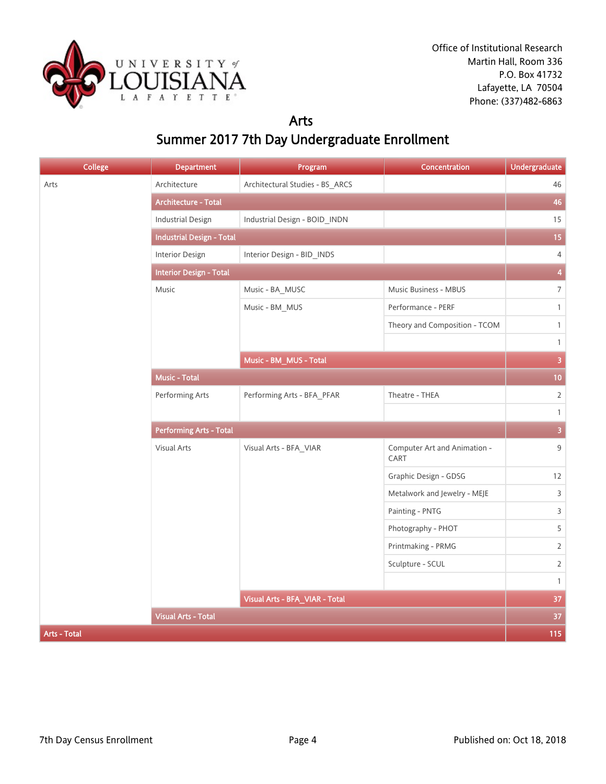

#### Arts

# Summer 2017 7th Day Undergraduate Enrollment

| <b>College</b>      | <b>Department</b>                | Program                         | Concentration                        | <b>Undergraduate</b>    |
|---------------------|----------------------------------|---------------------------------|--------------------------------------|-------------------------|
| Arts                | Architecture                     | Architectural Studies - BS_ARCS |                                      | 46                      |
|                     | <b>Architecture - Total</b>      |                                 |                                      | 46                      |
|                     | <b>Industrial Design</b>         | Industrial Design - BOID_INDN   |                                      | 15                      |
|                     | <b>Industrial Design - Total</b> |                                 |                                      | 15                      |
|                     | <b>Interior Design</b>           | Interior Design - BID_INDS      |                                      | $\overline{4}$          |
|                     | <b>Interior Design - Total</b>   |                                 |                                      | $\overline{\mathbf{4}}$ |
|                     | Music                            | Music - BA_MUSC                 | Music Business - MBUS                | $\overline{7}$          |
|                     |                                  | Music - BM_MUS                  | Performance - PERF                   | $\mathbf{1}$            |
|                     |                                  |                                 | Theory and Composition - TCOM        | $\mathbf{1}$            |
|                     |                                  |                                 |                                      | $\mathbf{1}$            |
|                     |                                  | Music - BM_MUS - Total          |                                      | $\overline{3}$          |
|                     | Music - Total                    |                                 |                                      | 10 <sub>1</sub>         |
|                     | Performing Arts                  | Performing Arts - BFA_PFAR      | Theatre - THEA                       | $\overline{2}$          |
|                     |                                  |                                 |                                      | $\mathbf{1}$            |
|                     | <b>Performing Arts - Total</b>   |                                 |                                      | $\overline{\mathbf{3}}$ |
|                     | Visual Arts                      | Visual Arts - BFA_VIAR          | Computer Art and Animation -<br>CART | 9                       |
|                     |                                  |                                 | Graphic Design - GDSG                | 12                      |
|                     |                                  |                                 | Metalwork and Jewelry - MEJE         | 3                       |
|                     |                                  |                                 | Painting - PNTG                      | 3                       |
|                     |                                  |                                 | Photography - PHOT                   | 5                       |
|                     |                                  |                                 | Printmaking - PRMG                   | $\overline{2}$          |
|                     |                                  |                                 | Sculpture - SCUL                     | $\overline{2}$          |
|                     |                                  |                                 |                                      | $\mathbf{1}$            |
|                     |                                  | Visual Arts - BFA_VIAR - Total  |                                      | 37                      |
|                     | <b>Visual Arts - Total</b>       |                                 |                                      | 37                      |
| <b>Arts - Total</b> |                                  |                                 |                                      | 115                     |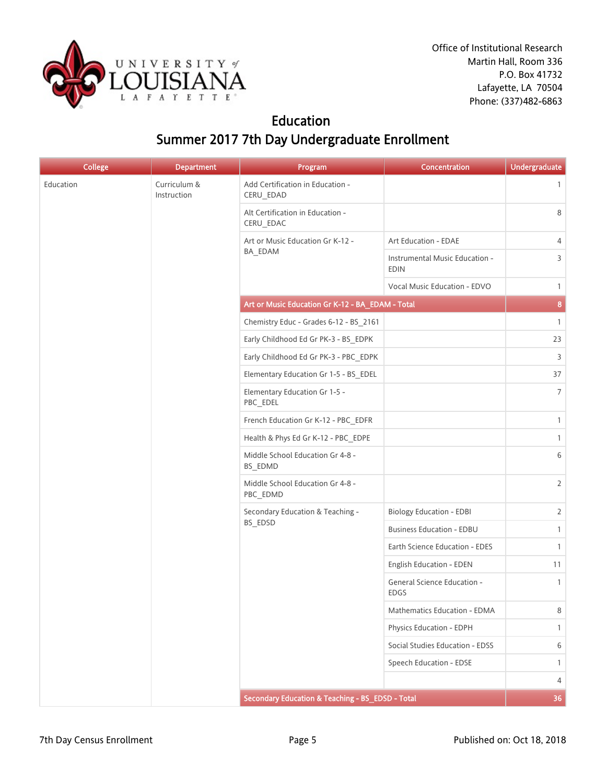

### Education Summer 2017 7th Day Undergraduate Enrollment

| <b>College</b> | <b>Department</b>           | Program                                          | Concentration                                 | <b>Undergraduate</b> |
|----------------|-----------------------------|--------------------------------------------------|-----------------------------------------------|----------------------|
| Education      | Curriculum &<br>Instruction | Add Certification in Education -<br>CERU_EDAD    |                                               | $\mathbf{1}$         |
|                |                             | Alt Certification in Education -<br>CERU_EDAC    |                                               | 8                    |
|                |                             | Art or Music Education Gr K-12 -                 | Art Education - EDAE                          | 4                    |
|                |                             | BA_EDAM                                          | Instrumental Music Education -<br><b>EDIN</b> | 3                    |
|                |                             |                                                  | Vocal Music Education - EDVO                  | $\mathbf{1}$         |
|                |                             | Art or Music Education Gr K-12 - BA_EDAM - Total |                                               | 8                    |
|                |                             | Chemistry Educ - Grades 6-12 - BS_2161           |                                               | $\mathbf{1}$         |
|                |                             | Early Childhood Ed Gr PK-3 - BS_EDPK             |                                               | 23                   |
|                |                             | Early Childhood Ed Gr PK-3 - PBC_EDPK            |                                               | 3                    |
|                |                             | Elementary Education Gr 1-5 - BS_EDEL            |                                               | 37                   |
|                |                             | Elementary Education Gr 1-5 -<br>PBC_EDEL        |                                               | $\overline{7}$       |
|                |                             | French Education Gr K-12 - PBC_EDFR              |                                               | $\mathbf{1}$         |
|                |                             | Health & Phys Ed Gr K-12 - PBC_EDPE              |                                               | $\mathbf{1}$         |
|                |                             | Middle School Education Gr 4-8 -<br>BS_EDMD      |                                               | 6                    |
|                |                             | Middle School Education Gr 4-8 -<br>PBC_EDMD     |                                               | $\overline{2}$       |
|                |                             | Secondary Education & Teaching -<br>BS_EDSD      | <b>Biology Education - EDBI</b>               | $\overline{2}$       |
|                |                             |                                                  | <b>Business Education - EDBU</b>              | $\mathbf{1}$         |
|                |                             |                                                  | Earth Science Education - EDES                | $\mathbf{1}$         |
|                |                             |                                                  | English Education - EDEN                      | 11                   |
|                |                             |                                                  | General Science Education -<br>EDGS           | $\mathbf{1}$         |
|                |                             |                                                  | Mathematics Education - EDMA                  | 8                    |
|                |                             |                                                  | Physics Education - EDPH                      | $\mathbf{1}$         |
|                |                             |                                                  | Social Studies Education - EDSS               | 6                    |
|                |                             |                                                  | Speech Education - EDSE                       | $\mathbf{1}$         |
|                |                             |                                                  |                                               | $\overline{4}$       |
|                |                             | Secondary Education & Teaching - BS_EDSD - Total |                                               | 36                   |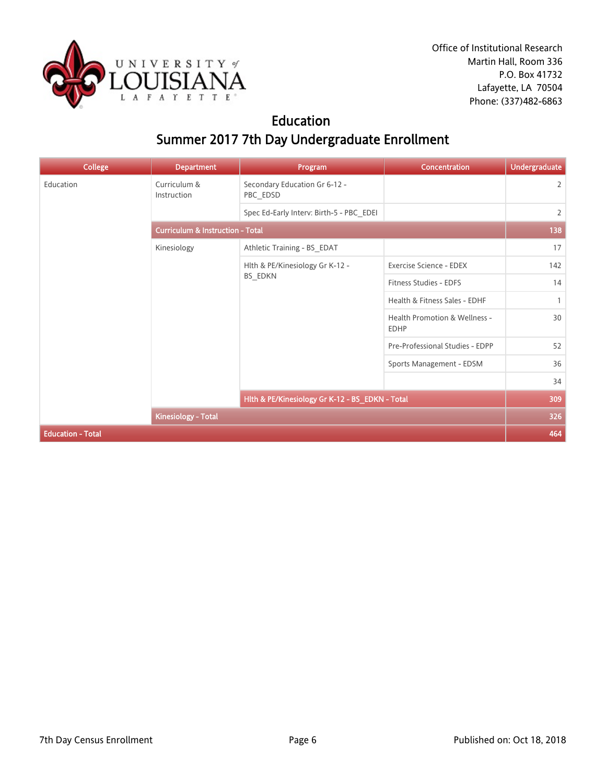

### Education Summer 2017 7th Day Undergraduate Enrollment

| <b>College</b>           | <b>Department</b>                           | Program                                         | Concentration                                | <b>Undergraduate</b> |  |
|--------------------------|---------------------------------------------|-------------------------------------------------|----------------------------------------------|----------------------|--|
| Education                | Curriculum &<br>Instruction                 | Secondary Education Gr 6-12 -<br>PBC_EDSD       |                                              | $\overline{2}$       |  |
|                          |                                             | Spec Ed-Early Interv: Birth-5 - PBC EDEI        |                                              | $\overline{2}$       |  |
|                          | <b>Curriculum &amp; Instruction - Total</b> |                                                 |                                              |                      |  |
|                          | Kinesiology                                 | Athletic Training - BS_EDAT                     |                                              | 17                   |  |
|                          |                                             | Hlth & PE/Kinesiology Gr K-12 -<br>BS_EDKN      | Exercise Science - EDEX                      | 142                  |  |
|                          |                                             |                                                 | Fitness Studies - EDFS                       | 14                   |  |
|                          |                                             |                                                 | Health & Fitness Sales - EDHF                | $\mathbf{1}$         |  |
|                          |                                             |                                                 | Health Promotion & Wellness -<br><b>EDHP</b> | 30                   |  |
|                          |                                             |                                                 | Pre-Professional Studies - EDPP              | 52                   |  |
|                          |                                             |                                                 | Sports Management - EDSM                     | 36                   |  |
|                          |                                             |                                                 |                                              | 34                   |  |
|                          |                                             | Hlth & PE/Kinesiology Gr K-12 - BS_EDKN - Total |                                              | 309                  |  |
|                          | <b>Kinesiology - Total</b>                  |                                                 |                                              | 326                  |  |
| <b>Education - Total</b> |                                             |                                                 |                                              | 464                  |  |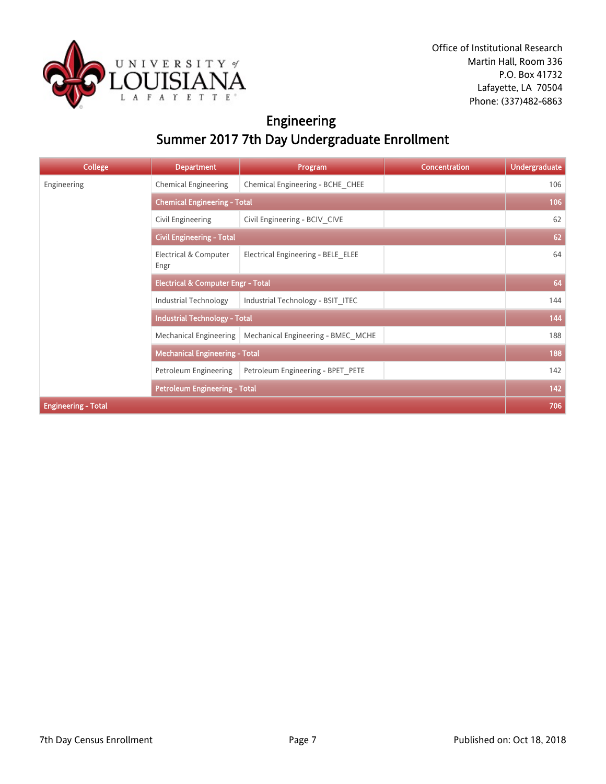

# Engineering Summer 2017 7th Day Undergraduate Enrollment

| <b>College</b>             | <b>Department</b>                             | Program                            | <b>Concentration</b> | <b>Undergraduate</b> |
|----------------------------|-----------------------------------------------|------------------------------------|----------------------|----------------------|
| Engineering                | <b>Chemical Engineering</b>                   | Chemical Engineering - BCHE CHEE   |                      | 106                  |
|                            | <b>Chemical Engineering - Total</b>           |                                    |                      | 106                  |
|                            | Civil Engineering                             | Civil Engineering - BCIV CIVE      |                      | 62                   |
|                            | <b>Civil Engineering - Total</b>              |                                    |                      | 62                   |
|                            | Electrical & Computer<br>Engr                 | Electrical Engineering - BELE ELEE |                      | 64                   |
|                            | <b>Electrical &amp; Computer Engr - Total</b> |                                    |                      | 64                   |
|                            | Industrial Technology                         | Industrial Technology - BSIT ITEC  |                      | 144                  |
|                            | <b>Industrial Technology - Total</b>          |                                    |                      | 144                  |
|                            | Mechanical Engineering                        | Mechanical Engineering - BMEC MCHE |                      | 188                  |
|                            | <b>Mechanical Engineering - Total</b>         |                                    |                      | 188                  |
|                            | Petroleum Engineering                         | Petroleum Engineering - BPET_PETE  |                      | 142                  |
|                            | <b>Petroleum Engineering - Total</b>          |                                    |                      | 142                  |
| <b>Engineering - Total</b> |                                               |                                    |                      | 706                  |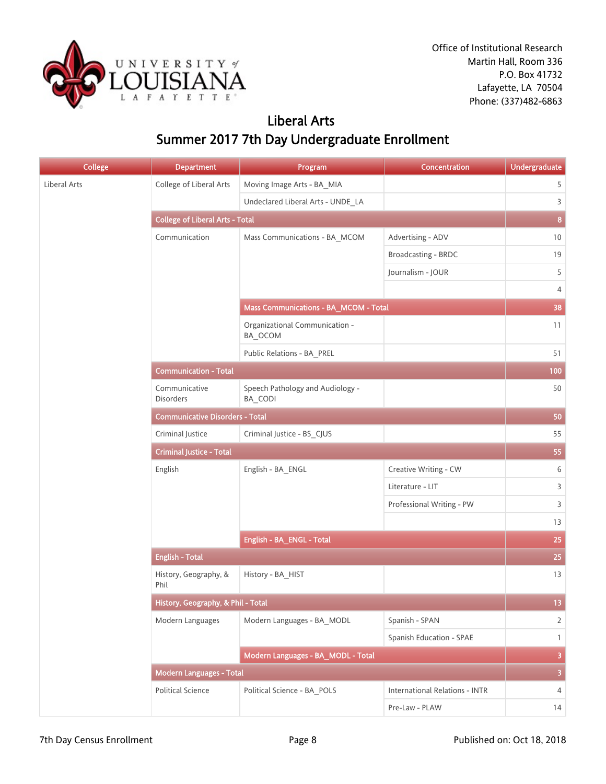

### Liberal Arts Summer 2017 7th Day Undergraduate Enrollment

| College      | <b>Department</b>                      | Program                                     | Concentration                         | <b>Undergraduate</b>    |
|--------------|----------------------------------------|---------------------------------------------|---------------------------------------|-------------------------|
| Liberal Arts | College of Liberal Arts                | Moving Image Arts - BA_MIA                  |                                       | 5                       |
|              |                                        | Undeclared Liberal Arts - UNDE_LA           |                                       | 3                       |
|              | <b>College of Liberal Arts - Total</b> |                                             |                                       | $\pmb{8}$               |
|              | Communication                          | Mass Communications - BA_MCOM               | Advertising - ADV                     | 10                      |
|              |                                        |                                             | Broadcasting - BRDC                   | 19                      |
|              |                                        |                                             | Journalism - JOUR                     | 5                       |
|              |                                        |                                             |                                       | 4                       |
|              |                                        | Mass Communications - BA_MCOM - Total       |                                       | 38                      |
|              |                                        | Organizational Communication -<br>BA_OCOM   |                                       | 11                      |
|              |                                        | Public Relations - BA_PREL                  |                                       | 51                      |
|              | <b>Communication - Total</b>           |                                             |                                       | 100                     |
|              | Communicative<br><b>Disorders</b>      | Speech Pathology and Audiology -<br>BA_CODI |                                       | 50                      |
|              | <b>Communicative Disorders - Total</b> |                                             |                                       | 50                      |
|              | Criminal Justice                       | Criminal Justice - BS_CJUS                  |                                       | 55                      |
|              | <b>Criminal Justice - Total</b>        |                                             |                                       | 55                      |
|              | English                                | English - BA_ENGL                           | Creative Writing - CW                 | 6                       |
|              |                                        |                                             | Literature - LIT                      | 3                       |
|              |                                        |                                             | Professional Writing - PW             | 3                       |
|              |                                        |                                             |                                       | 13                      |
|              |                                        | English - BA_ENGL - Total                   |                                       | 25                      |
|              | <b>English - Total</b>                 |                                             |                                       | 25                      |
|              | History, Geography, &<br>Phil          | History - BA_HIST                           |                                       | 13                      |
|              | History, Geography, & Phil - Total     |                                             |                                       | 13 <sup>°</sup>         |
|              | Modern Languages                       | Modern Languages - BA MODL                  | Spanish - SPAN                        | $\overline{2}$          |
|              |                                        |                                             | Spanish Education - SPAE              | $\mathbf{1}$            |
|              |                                        | Modern Languages - BA_MODL - Total          |                                       | $\overline{\mathbf{3}}$ |
|              | <b>Modern Languages - Total</b>        |                                             |                                       | $\overline{\mathbf{3}}$ |
|              | <b>Political Science</b>               | Political Science - BA POLS                 | <b>International Relations - INTR</b> | $\overline{4}$          |
|              |                                        |                                             | Pre-Law - PLAW                        | 14                      |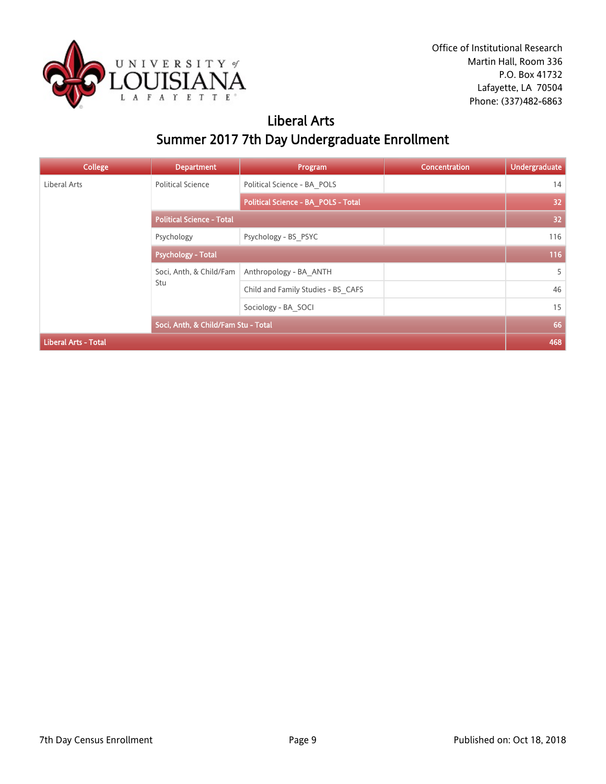

# Liberal Arts Summer 2017 7th Day Undergraduate Enrollment

| <b>College</b>              | <b>Department</b>                   | Program                             | <b>Concentration</b> | <b>Undergraduate</b> |
|-----------------------------|-------------------------------------|-------------------------------------|----------------------|----------------------|
| Liberal Arts                | <b>Political Science</b>            | Political Science - BA POLS         |                      | 14                   |
|                             |                                     | Political Science - BA_POLS - Total |                      | 32                   |
|                             | <b>Political Science - Total</b>    |                                     |                      | 32 <sub>2</sub>      |
|                             | Psychology                          | Psychology - BS PSYC                |                      | 116                  |
|                             | <b>Psychology - Total</b>           |                                     |                      | 116                  |
|                             | Soci, Anth, & Child/Fam<br>Stu      | Anthropology - BA ANTH              |                      | 5                    |
|                             |                                     | Child and Family Studies - BS CAFS  |                      | 46                   |
|                             |                                     | Sociology - BA SOCI                 |                      | 15                   |
|                             | Soci, Anth, & Child/Fam Stu - Total |                                     |                      | 66                   |
| <b>Liberal Arts - Total</b> |                                     |                                     |                      | 468                  |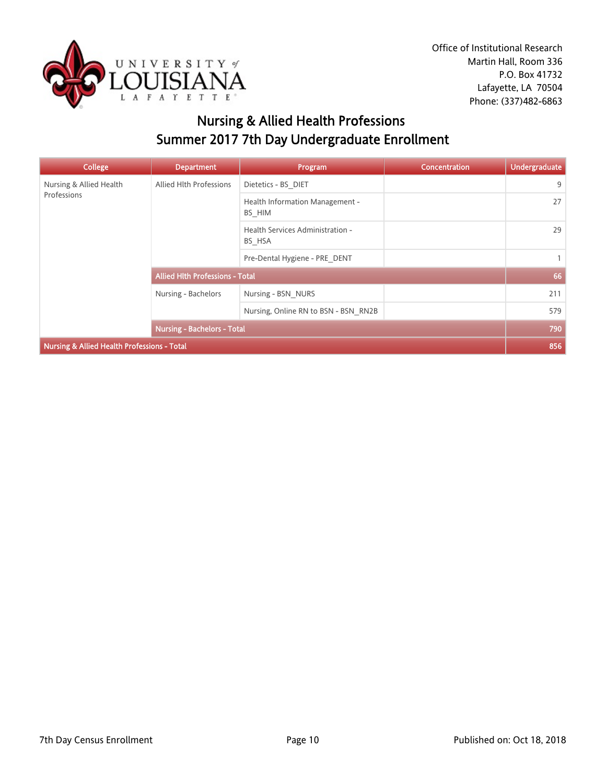

# Nursing & Allied Health Professions Summer 2017 7th Day Undergraduate Enrollment

| <b>College</b>                              | <b>Department</b>                      | Program                                    | <b>Concentration</b> | <b>Undergraduate</b> |
|---------------------------------------------|----------------------------------------|--------------------------------------------|----------------------|----------------------|
| Nursing & Allied Health                     | Allied Hlth Professions                | Dietetics - BS DIET                        |                      | 9                    |
| Professions                                 |                                        | Health Information Management -<br>BS HIM  |                      | 27                   |
|                                             |                                        | Health Services Administration -<br>BS HSA |                      | 29                   |
|                                             |                                        | Pre-Dental Hygiene - PRE DENT              |                      | $\mathbf{1}$         |
|                                             | <b>Allied Hith Professions - Total</b> |                                            |                      | 66                   |
|                                             | Nursing - Bachelors                    | Nursing - BSN NURS                         |                      | 211                  |
|                                             |                                        | Nursing, Online RN to BSN - BSN RN2B       |                      | 579                  |
|                                             | <b>Nursing - Bachelors - Total</b>     |                                            |                      | 790                  |
| Nursing & Allied Health Professions - Total |                                        |                                            |                      | 856                  |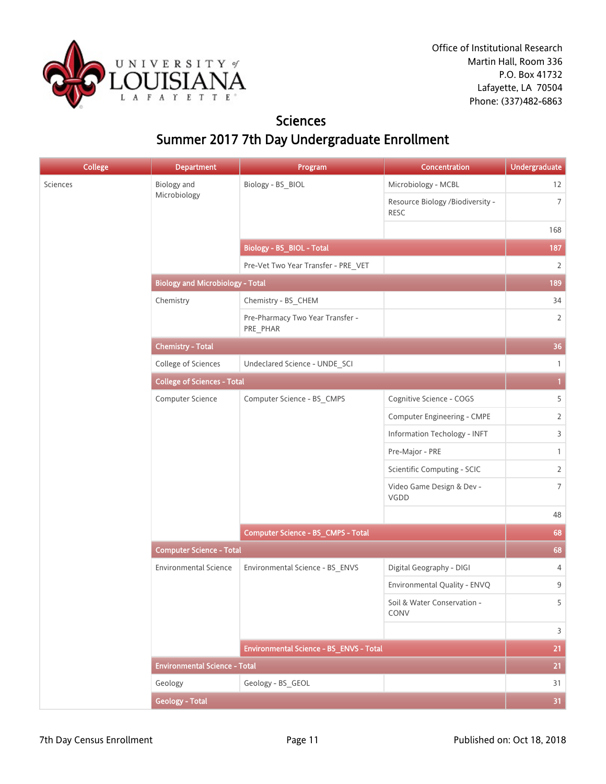

### **Sciences** Summer 2017 7th Day Undergraduate Enrollment

| <b>Biology</b> and<br>Sciences<br>Biology - BS_BIOL<br>Microbiology - MCBL<br>Microbiology<br>Resource Biology /Biodiversity -<br><b>RESC</b><br><b>Biology - BS_BIOL - Total</b><br>Pre-Vet Two Year Transfer - PRE_VET<br><b>Biology and Microbiology - Total</b><br>Chemistry<br>Chemistry - BS_CHEM<br>Pre-Pharmacy Two Year Transfer -<br>PRE_PHAR<br><b>Chemistry - Total</b><br>College of Sciences<br>Undeclared Science - UNDE_SCI<br><b>College of Sciences - Total</b><br>Computer Science - BS_CMPS<br>Cognitive Science - COGS<br>Computer Science<br>Computer Engineering - CMPE<br>Information Techology - INFT<br>Pre-Major - PRE<br>Scientific Computing - SCIC<br>Video Game Design & Dev -<br>VGDD<br><b>Computer Science - BS_CMPS - Total</b><br><b>Computer Science - Total</b> | 12<br>$\overline{7}$<br>168<br>187<br>$\overline{2}$<br>189<br>34<br>2<br>36<br>$\mathbf{1}$ |
|-------------------------------------------------------------------------------------------------------------------------------------------------------------------------------------------------------------------------------------------------------------------------------------------------------------------------------------------------------------------------------------------------------------------------------------------------------------------------------------------------------------------------------------------------------------------------------------------------------------------------------------------------------------------------------------------------------------------------------------------------------------------------------------------------------|----------------------------------------------------------------------------------------------|
|                                                                                                                                                                                                                                                                                                                                                                                                                                                                                                                                                                                                                                                                                                                                                                                                       |                                                                                              |
|                                                                                                                                                                                                                                                                                                                                                                                                                                                                                                                                                                                                                                                                                                                                                                                                       |                                                                                              |
|                                                                                                                                                                                                                                                                                                                                                                                                                                                                                                                                                                                                                                                                                                                                                                                                       |                                                                                              |
|                                                                                                                                                                                                                                                                                                                                                                                                                                                                                                                                                                                                                                                                                                                                                                                                       |                                                                                              |
|                                                                                                                                                                                                                                                                                                                                                                                                                                                                                                                                                                                                                                                                                                                                                                                                       |                                                                                              |
|                                                                                                                                                                                                                                                                                                                                                                                                                                                                                                                                                                                                                                                                                                                                                                                                       |                                                                                              |
|                                                                                                                                                                                                                                                                                                                                                                                                                                                                                                                                                                                                                                                                                                                                                                                                       |                                                                                              |
|                                                                                                                                                                                                                                                                                                                                                                                                                                                                                                                                                                                                                                                                                                                                                                                                       |                                                                                              |
|                                                                                                                                                                                                                                                                                                                                                                                                                                                                                                                                                                                                                                                                                                                                                                                                       |                                                                                              |
|                                                                                                                                                                                                                                                                                                                                                                                                                                                                                                                                                                                                                                                                                                                                                                                                       |                                                                                              |
|                                                                                                                                                                                                                                                                                                                                                                                                                                                                                                                                                                                                                                                                                                                                                                                                       | $\mathbf{1}$                                                                                 |
|                                                                                                                                                                                                                                                                                                                                                                                                                                                                                                                                                                                                                                                                                                                                                                                                       | 5                                                                                            |
|                                                                                                                                                                                                                                                                                                                                                                                                                                                                                                                                                                                                                                                                                                                                                                                                       | $\overline{2}$                                                                               |
|                                                                                                                                                                                                                                                                                                                                                                                                                                                                                                                                                                                                                                                                                                                                                                                                       | 3                                                                                            |
|                                                                                                                                                                                                                                                                                                                                                                                                                                                                                                                                                                                                                                                                                                                                                                                                       | $\mathbf{1}$                                                                                 |
|                                                                                                                                                                                                                                                                                                                                                                                                                                                                                                                                                                                                                                                                                                                                                                                                       | $\overline{2}$                                                                               |
|                                                                                                                                                                                                                                                                                                                                                                                                                                                                                                                                                                                                                                                                                                                                                                                                       | $\overline{7}$                                                                               |
|                                                                                                                                                                                                                                                                                                                                                                                                                                                                                                                                                                                                                                                                                                                                                                                                       | 48                                                                                           |
|                                                                                                                                                                                                                                                                                                                                                                                                                                                                                                                                                                                                                                                                                                                                                                                                       | 68                                                                                           |
|                                                                                                                                                                                                                                                                                                                                                                                                                                                                                                                                                                                                                                                                                                                                                                                                       | 68                                                                                           |
| <b>Environmental Science</b><br>Environmental Science - BS_ENVS<br>Digital Geography - DIGI                                                                                                                                                                                                                                                                                                                                                                                                                                                                                                                                                                                                                                                                                                           | 4                                                                                            |
| Environmental Quality - ENVQ                                                                                                                                                                                                                                                                                                                                                                                                                                                                                                                                                                                                                                                                                                                                                                          | 9                                                                                            |
| Soil & Water Conservation -<br>CONV                                                                                                                                                                                                                                                                                                                                                                                                                                                                                                                                                                                                                                                                                                                                                                   | 5                                                                                            |
|                                                                                                                                                                                                                                                                                                                                                                                                                                                                                                                                                                                                                                                                                                                                                                                                       |                                                                                              |
| Environmental Science - BS_ENVS - Total                                                                                                                                                                                                                                                                                                                                                                                                                                                                                                                                                                                                                                                                                                                                                               | $\overline{3}$                                                                               |
| <b>Environmental Science - Total</b>                                                                                                                                                                                                                                                                                                                                                                                                                                                                                                                                                                                                                                                                                                                                                                  | 21                                                                                           |
| Geology - BS_GEOL<br>Geology                                                                                                                                                                                                                                                                                                                                                                                                                                                                                                                                                                                                                                                                                                                                                                          | 21                                                                                           |
| <b>Geology - Total</b>                                                                                                                                                                                                                                                                                                                                                                                                                                                                                                                                                                                                                                                                                                                                                                                | 31                                                                                           |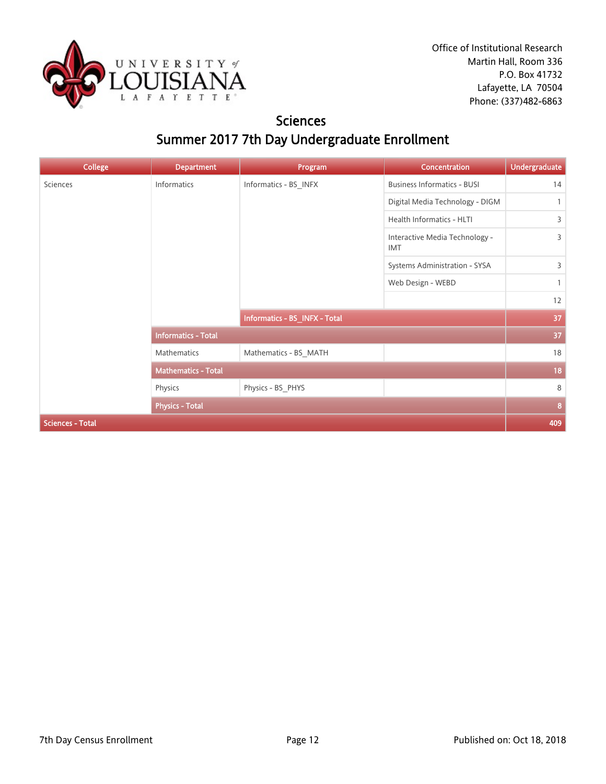

### **Sciences** Summer 2017 7th Day Undergraduate Enrollment

| <b>College</b>          | <b>Department</b>          | Program                       | Concentration                                | <b>Undergraduate</b> |
|-------------------------|----------------------------|-------------------------------|----------------------------------------------|----------------------|
| Sciences                | Informatics                | Informatics - BS_INFX         | <b>Business Informatics - BUSI</b>           | 14                   |
|                         |                            |                               | Digital Media Technology - DIGM              | $\mathbf{1}$         |
|                         |                            |                               | Health Informatics - HLTI                    | 3                    |
|                         |                            |                               | Interactive Media Technology -<br><b>IMT</b> | 3                    |
|                         |                            |                               | Systems Administration - SYSA                | 3                    |
|                         |                            |                               | Web Design - WEBD                            | $\mathbf{1}$         |
|                         |                            |                               |                                              | 12                   |
|                         |                            | Informatics - BS_INFX - Total |                                              | 37                   |
|                         | <b>Informatics - Total</b> |                               |                                              | 37                   |
|                         | Mathematics                | Mathematics - BS_MATH         |                                              | 18                   |
|                         | <b>Mathematics - Total</b> |                               |                                              | 18                   |
|                         | Physics                    | Physics - BS_PHYS             |                                              | 8                    |
|                         | <b>Physics - Total</b>     |                               |                                              | 8                    |
| <b>Sciences - Total</b> |                            |                               |                                              | 409                  |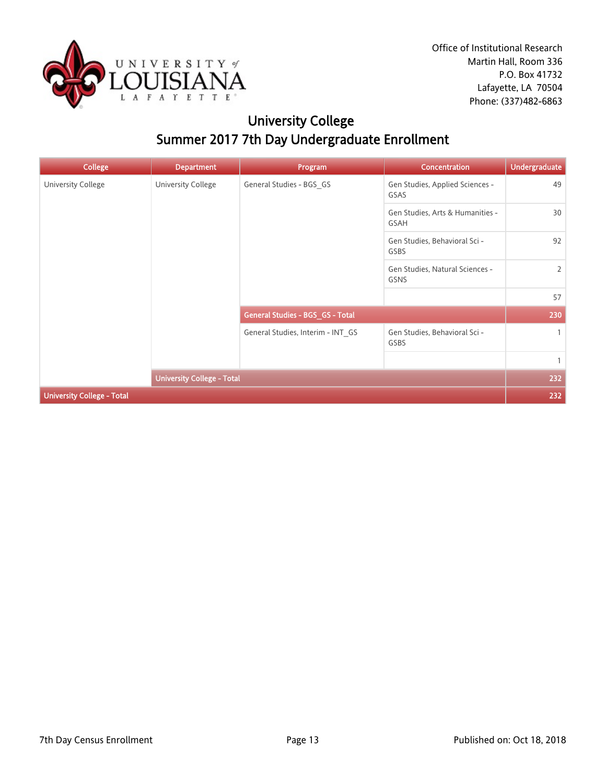

# University College Summer 2017 7th Day Undergraduate Enrollment

| <b>College</b>                    | <b>Department</b>                 | Program                           | <b>Concentration</b>                           | <b>Undergraduate</b> |
|-----------------------------------|-----------------------------------|-----------------------------------|------------------------------------------------|----------------------|
| University College                | University College                | General Studies - BGS_GS          | Gen Studies, Applied Sciences -<br>GSAS        | 49                   |
|                                   |                                   |                                   | Gen Studies, Arts & Humanities -<br>GSAH       | 30                   |
|                                   |                                   |                                   | Gen Studies, Behavioral Sci -<br>GSBS          | 92                   |
|                                   |                                   |                                   | Gen Studies, Natural Sciences -<br><b>GSNS</b> | $\overline{2}$       |
|                                   |                                   |                                   |                                                | 57                   |
|                                   |                                   | General Studies - BGS_GS - Total  |                                                | 230                  |
|                                   |                                   | General Studies, Interim - INT_GS | Gen Studies, Behavioral Sci -<br>GSBS          | $\mathbf{1}$         |
|                                   |                                   |                                   |                                                | $\mathbf{1}$         |
|                                   | <b>University College - Total</b> |                                   |                                                | 232                  |
| <b>University College - Total</b> |                                   |                                   |                                                | 232                  |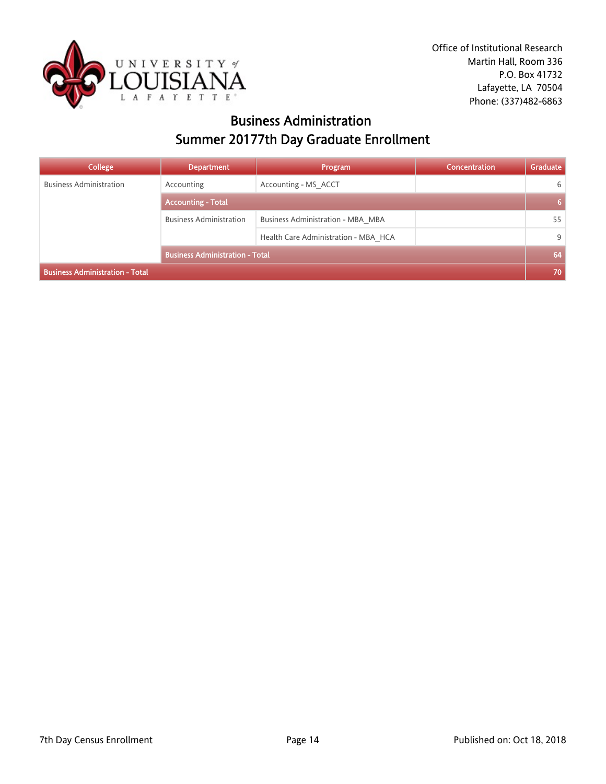

### Business Administration Summer 20177th Day Graduate Enrollment

| College                                | <b>Department</b>                      | Program                              | Concentration | <b>Graduate</b> |
|----------------------------------------|----------------------------------------|--------------------------------------|---------------|-----------------|
| <b>Business Administration</b>         | Accounting                             | Accounting - MS ACCT                 |               | 6               |
|                                        | <b>Accounting - Total</b>              |                                      |               | 6               |
|                                        | <b>Business Administration</b>         | Business Administration - MBA MBA    |               | 55              |
|                                        |                                        | Health Care Administration - MBA HCA |               | 9               |
|                                        | <b>Business Administration - Total</b> |                                      |               | 64              |
| <b>Business Administration - Total</b> |                                        |                                      |               | 70              |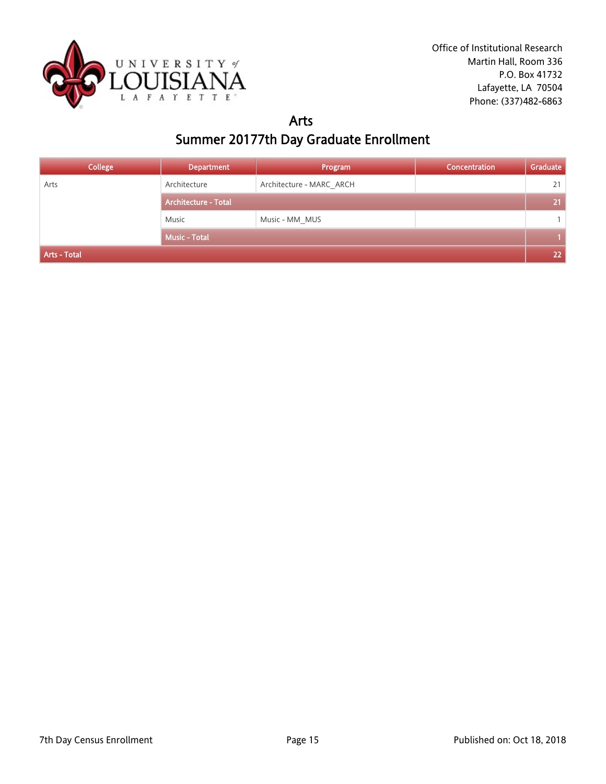

# Arts

# Summer 20177th Day Graduate Enrollment

| <b>College</b> | <b>Department</b>           | Program                  | Concentration | Graduate |
|----------------|-----------------------------|--------------------------|---------------|----------|
| Arts           | Architecture                | Architecture - MARC ARCH |               | 21       |
|                | <b>Architecture - Total</b> |                          |               | 21       |
|                | Music                       | Music - MM_MUS           |               |          |
|                | <b>Music - Total</b>        |                          |               |          |
| Arts - Total   |                             |                          |               | 22       |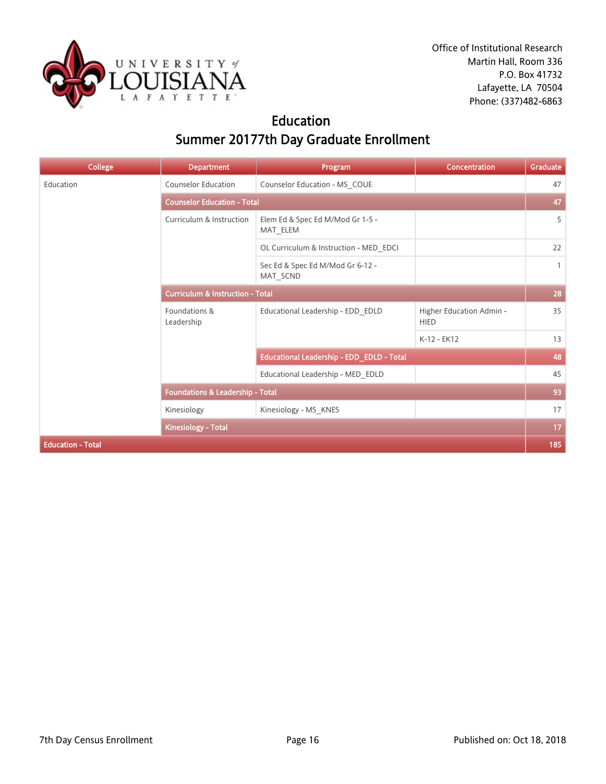

### Education Summer 20177th Day Graduate Enrollment

| <b>College</b>           | <b>Department</b>                           | Program                                      | Concentration                           | Graduate     |  |
|--------------------------|---------------------------------------------|----------------------------------------------|-----------------------------------------|--------------|--|
| Education                | <b>Counselor Education</b>                  | Counselor Education - MS_COUE                |                                         | 47           |  |
|                          | <b>Counselor Education - Total</b>          |                                              |                                         |              |  |
|                          | Curriculum & Instruction                    | Elem Ed & Spec Ed M/Mod Gr 1-5 -<br>MAT_ELEM |                                         | 5            |  |
|                          |                                             | OL Curriculum & Instruction - MED_EDCI       |                                         | 22           |  |
|                          |                                             | Sec Ed & Spec Ed M/Mod Gr 6-12 -<br>MAT SCND |                                         | $\mathbf{1}$ |  |
|                          | <b>Curriculum &amp; Instruction - Total</b> |                                              |                                         |              |  |
|                          | Foundations &<br>Leadership                 | Educational Leadership - EDD_EDLD            | Higher Education Admin -<br><b>HIED</b> | 35           |  |
|                          |                                             |                                              | K-12 - EK12                             | 13           |  |
|                          |                                             | Educational Leadership - EDD_EDLD - Total    |                                         | 48           |  |
|                          |                                             | Educational Leadership - MED_EDLD            |                                         | 45           |  |
|                          | <b>Foundations &amp; Leadership - Total</b> |                                              |                                         | 93           |  |
|                          | Kinesiology                                 | Kinesiology - MS_KNES                        |                                         | 17           |  |
|                          | Kinesiology - Total                         |                                              |                                         | 17           |  |
| <b>Education - Total</b> |                                             |                                              |                                         | 185          |  |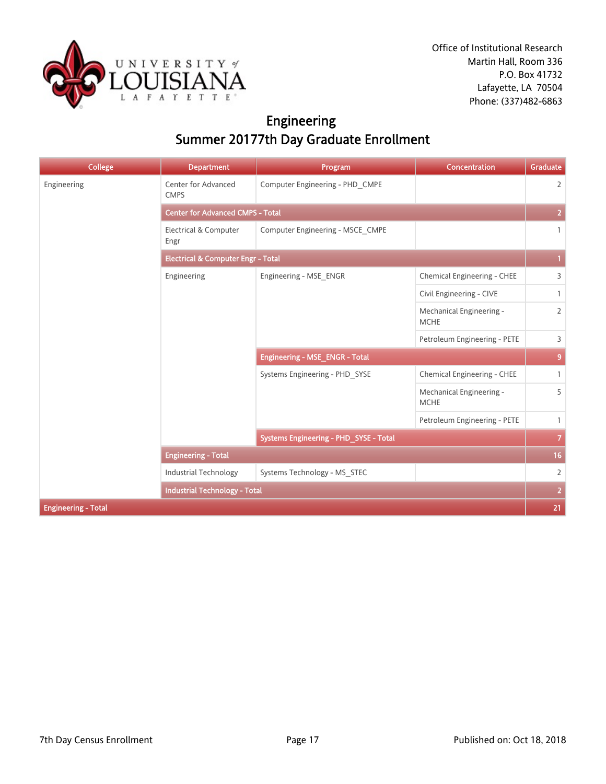

# Engineering Summer 20177th Day Graduate Enrollment

| <b>College</b>             | <b>Department</b>                             | Program                                 | Concentration                           | Graduate       |  |
|----------------------------|-----------------------------------------------|-----------------------------------------|-----------------------------------------|----------------|--|
| Engineering                | Center for Advanced<br><b>CMPS</b>            | Computer Engineering - PHD_CMPE         |                                         | $\overline{2}$ |  |
|                            |                                               | <b>Center for Advanced CMPS - Total</b> |                                         |                |  |
|                            | Electrical & Computer<br>Engr                 | Computer Engineering - MSCE CMPE        |                                         | $\mathbf{1}$   |  |
|                            | <b>Electrical &amp; Computer Engr - Total</b> |                                         |                                         |                |  |
|                            | Engineering                                   | Engineering - MSE_ENGR                  | Chemical Engineering - CHEE             | $\overline{3}$ |  |
|                            |                                               |                                         | Civil Engineering - CIVE                | $\mathbf{1}$   |  |
|                            |                                               |                                         | Mechanical Engineering -<br><b>MCHE</b> | $\overline{2}$ |  |
|                            |                                               |                                         | Petroleum Engineering - PETE            | $\overline{3}$ |  |
|                            |                                               | <b>Engineering - MSE_ENGR - Total</b>   |                                         | 9              |  |
|                            |                                               | Systems Engineering - PHD SYSE          | Chemical Engineering - CHEE             | $\mathbf{1}$   |  |
|                            |                                               |                                         | Mechanical Engineering -<br><b>MCHE</b> | 5              |  |
|                            |                                               |                                         | Petroleum Engineering - PETE            | $\mathbf{1}$   |  |
|                            |                                               | Systems Engineering - PHD_SYSE - Total  |                                         | $\mathbf{7}$   |  |
|                            | <b>Engineering - Total</b>                    |                                         |                                         | 16             |  |
|                            | <b>Industrial Technology</b>                  | Systems Technology - MS STEC            |                                         | $\overline{2}$ |  |
|                            | <b>Industrial Technology - Total</b>          |                                         |                                         | $\overline{2}$ |  |
| <b>Engineering - Total</b> |                                               |                                         |                                         | 21             |  |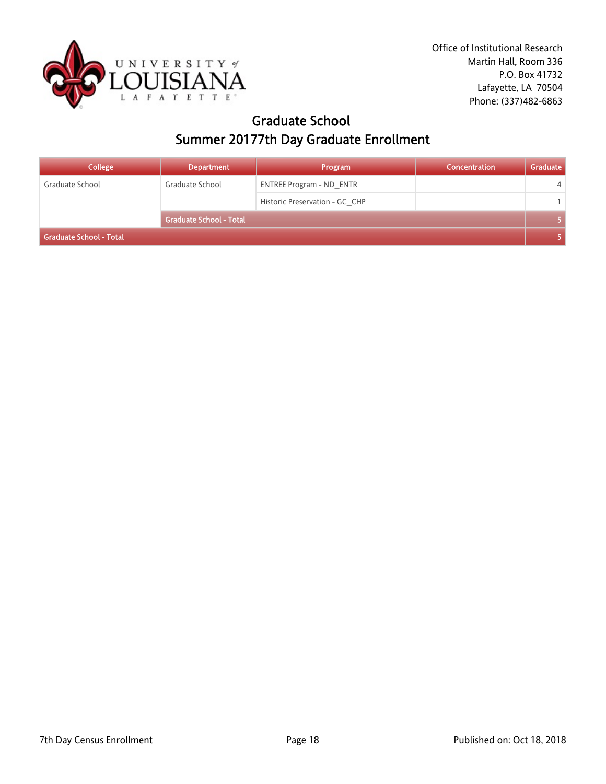

### Graduate School Summer 20177th Day Graduate Enrollment

| <b>College</b>          | <b>Department</b>              | Program                         | Concentration | Graduate |  |
|-------------------------|--------------------------------|---------------------------------|---------------|----------|--|
| Graduate School         | Graduate School                | <b>ENTREE Program - ND ENTR</b> |               | 4        |  |
|                         |                                | Historic Preservation - GC CHP  |               |          |  |
|                         | <b>Graduate School - Total</b> |                                 |               |          |  |
| Graduate School - Total |                                |                                 |               |          |  |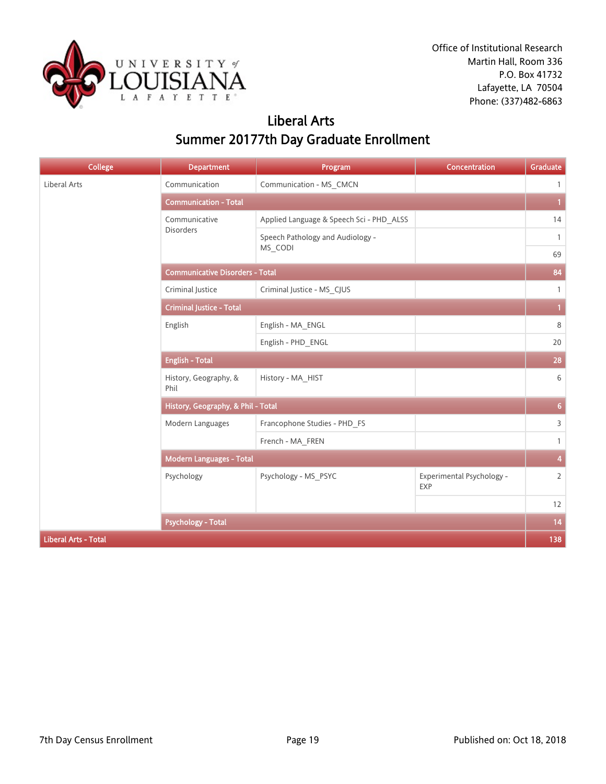

### Liberal Arts Summer 20177th Day Graduate Enrollment

| <b>College</b>              | <b>Department</b>                      | Program                                  | Concentration                    | Graduate                |
|-----------------------------|----------------------------------------|------------------------------------------|----------------------------------|-------------------------|
| <b>Liberal Arts</b>         | Communication                          | Communication - MS_CMCN                  |                                  | $\mathbf{1}$            |
|                             | <b>Communication - Total</b>           |                                          |                                  | $\mathbf{1}$            |
|                             | Communicative                          | Applied Language & Speech Sci - PHD_ALSS |                                  | 14                      |
|                             | Disorders                              | Speech Pathology and Audiology -         |                                  | $\mathbf{1}$            |
|                             |                                        | MS_CODI                                  |                                  | 69                      |
|                             | <b>Communicative Disorders - Total</b> |                                          |                                  | 84                      |
|                             | Criminal Justice                       | Criminal Justice - MS_CJUS               |                                  | $\mathbf{1}$            |
|                             | <b>Criminal Justice - Total</b>        |                                          |                                  | $\mathbf{1}$            |
|                             | English                                | English - MA_ENGL                        |                                  | 8                       |
|                             |                                        | English - PHD_ENGL                       |                                  | 20                      |
|                             | <b>English - Total</b>                 |                                          |                                  | 28                      |
|                             | History, Geography, &<br>Phil          | History - MA_HIST                        |                                  | 6                       |
|                             | History, Geography, & Phil - Total     |                                          |                                  | $\overline{6}$          |
|                             | Modern Languages                       | Francophone Studies - PHD_FS             |                                  | 3                       |
|                             |                                        | French - MA_FREN                         |                                  | $\mathbf{1}$            |
|                             | <b>Modern Languages - Total</b>        |                                          |                                  | $\overline{\mathbf{4}}$ |
|                             | Psychology                             | Psychology - MS_PSYC                     | Experimental Psychology -<br>EXP | $\overline{2}$          |
|                             |                                        |                                          |                                  | 12                      |
|                             | <b>Psychology - Total</b>              |                                          |                                  | 14                      |
| <b>Liberal Arts - Total</b> |                                        |                                          |                                  | 138                     |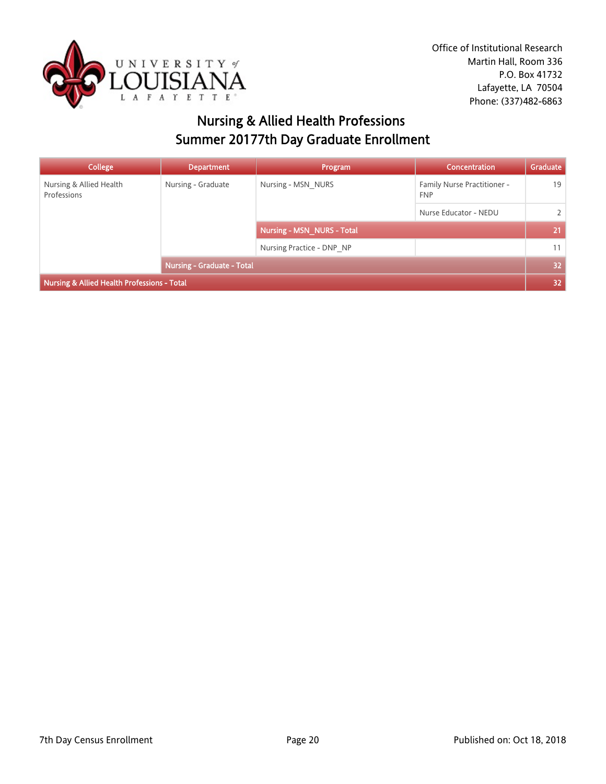

# Nursing & Allied Health Professions Summer 20177th Day Graduate Enrollment

| College                                     | <b>Department</b>                 | Program                           | Concentration               | Graduate        |
|---------------------------------------------|-----------------------------------|-----------------------------------|-----------------------------|-----------------|
| Nursing & Allied Health<br>Professions      | Nursing - Graduate                | Nursing - MSN NURS<br><b>FNP</b>  | Family Nurse Practitioner - | 19              |
|                                             |                                   |                                   | Nurse Educator - NEDU       | $\mathcal{L}$   |
|                                             |                                   | <b>Nursing - MSN NURS - Total</b> |                             | 21              |
|                                             |                                   | Nursing Practice - DNP NP         |                             | 11              |
|                                             | <b>Nursing - Graduate - Total</b> |                                   |                             | 32 <sub>2</sub> |
| Nursing & Allied Health Professions - Total |                                   |                                   |                             |                 |